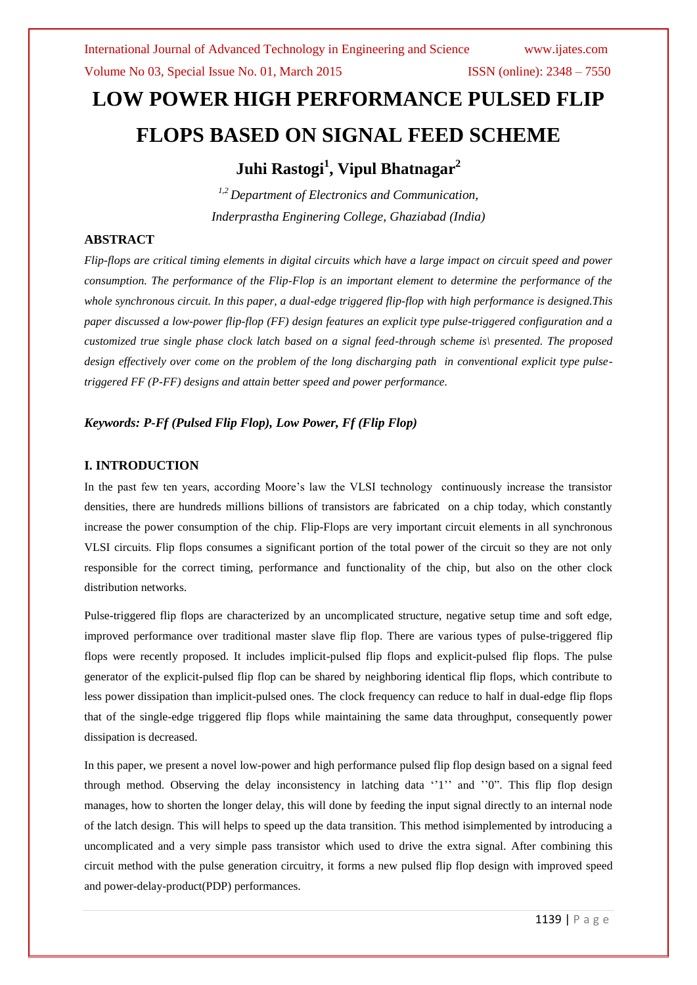# **LOW POWER HIGH PERFORMANCE PULSED FLIP FLOPS BASED ON SIGNAL FEED SCHEME**

**Juhi Rastogi<sup>1</sup> , Vipul Bhatnagar<sup>2</sup>**

*1,2 Department of Electronics and Communication, Inderprastha Enginering College, Ghaziabad (India)*

# **ABSTRACT**

*Flip-flops are critical timing elements in digital circuits which have a large impact on circuit speed and power consumption. The performance of the Flip-Flop is an important element to determine the performance of the whole synchronous circuit. In this paper, a dual-edge triggered flip-flop with high performance is designed.This paper discussed a low-power flip-flop (FF) design features an explicit type pulse-triggered configuration and a customized true single phase clock latch based on a signal feed-through scheme is\ presented. The proposed design effectively over come on the problem of the long discharging path in conventional explicit type pulsetriggered FF (P-FF) designs and attain better speed and power performance.*

# *Keywords: P-Ff (Pulsed Flip Flop), Low Power, Ff (Flip Flop)*

## **I. INTRODUCTION**

In the past few ten years, according Moore's law the VLSI technology continuously increase the transistor densities, there are hundreds millions billions of transistors are fabricated on a chip today, which constantly increase the power consumption of the chip. Flip-Flops are very important circuit elements in all synchronous VLSI circuits. Flip flops consumes a significant portion of the total power of the circuit so they are not only responsible for the correct timing, performance and functionality of the chip, but also on the other clock distribution networks.

Pulse-triggered flip flops are characterized by an uncomplicated structure, negative setup time and soft edge, improved performance over traditional master slave flip flop. There are various types of pulse-triggered flip flops were recently proposed. It includes implicit-pulsed flip flops and explicit-pulsed flip flops. The pulse generator of the explicit-pulsed flip flop can be shared by neighboring identical flip flops, which contribute to less power dissipation than implicit-pulsed ones. The clock frequency can reduce to half in dual-edge flip flops that of the single-edge triggered flip flops while maintaining the same data throughput, consequently power dissipation is decreased.

In this paper, we present a novel low-power and high performance pulsed flip flop design based on a signal feed through method. Observing the delay inconsistency in latching data  $1''$  and  $1''$ . This flip flop design manages, how to shorten the longer delay, this will done by feeding the input signal directly to an internal node of the latch design. This will helps to speed up the data transition. This method isimplemented by introducing a uncomplicated and a very simple pass transistor which used to drive the extra signal. After combining this circuit method with the pulse generation circuitry, it forms a new pulsed flip flop design with improved speed and power-delay-product(PDP) performances.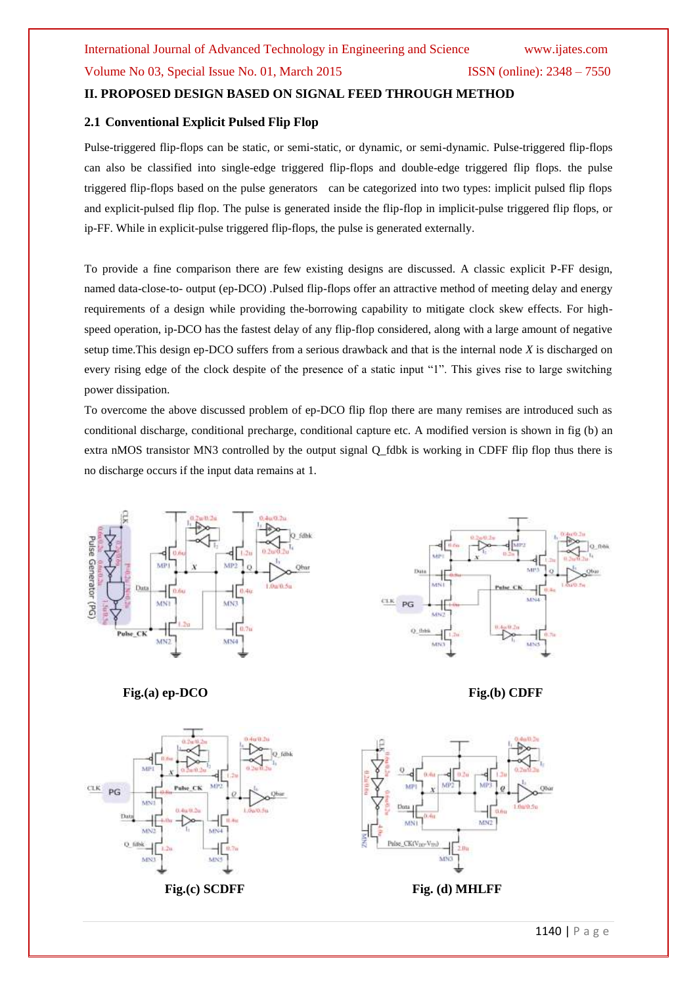# **II. PROPOSED DESIGN BASED ON SIGNAL FEED THROUGH METHOD**

## **2.1 Conventional Explicit Pulsed Flip Flop**

Pulse-triggered flip-flops can be static, or semi-static, or dynamic, or semi-dynamic. Pulse-triggered flip-flops can also be classified into single-edge triggered flip-flops and double-edge triggered flip flops. the pulse triggered flip-flops based on the pulse generators can be categorized into two types: implicit pulsed flip flops and explicit-pulsed flip flop. The pulse is generated inside the flip-flop in implicit-pulse triggered flip flops, or ip-FF. While in explicit-pulse triggered flip-flops, the pulse is generated externally.

To provide a fine comparison there are few existing designs are discussed. A classic explicit P-FF design, named data-close-to- output (ep-DCO) .Pulsed flip-flops offer an attractive method of meeting delay and energy requirements of a design while providing the-borrowing capability to mitigate clock skew effects. For highspeed operation, ip-DCO has the fastest delay of any flip-flop considered, along with a large amount of negative setup time.This design ep-DCO suffers from a serious drawback and that is the internal node *X* is discharged on every rising edge of the clock despite of the presence of a static input "1". This gives rise to large switching power dissipation.

To overcome the above discussed problem of ep-DCO flip flop there are many remises are introduced such as conditional discharge, conditional precharge, conditional capture etc. A modified version is shown in fig (b) an extra nMOS transistor MN3 controlled by the output signal Q\_fdbk is working in CDFF flip flop thus there is no discharge occurs if the input data remains at 1.





**Fig.(a) ep-DCO** Fig.(b) CDFF

CLK PG



Fig. (c) SCDFF Fig. (d) MHLFF

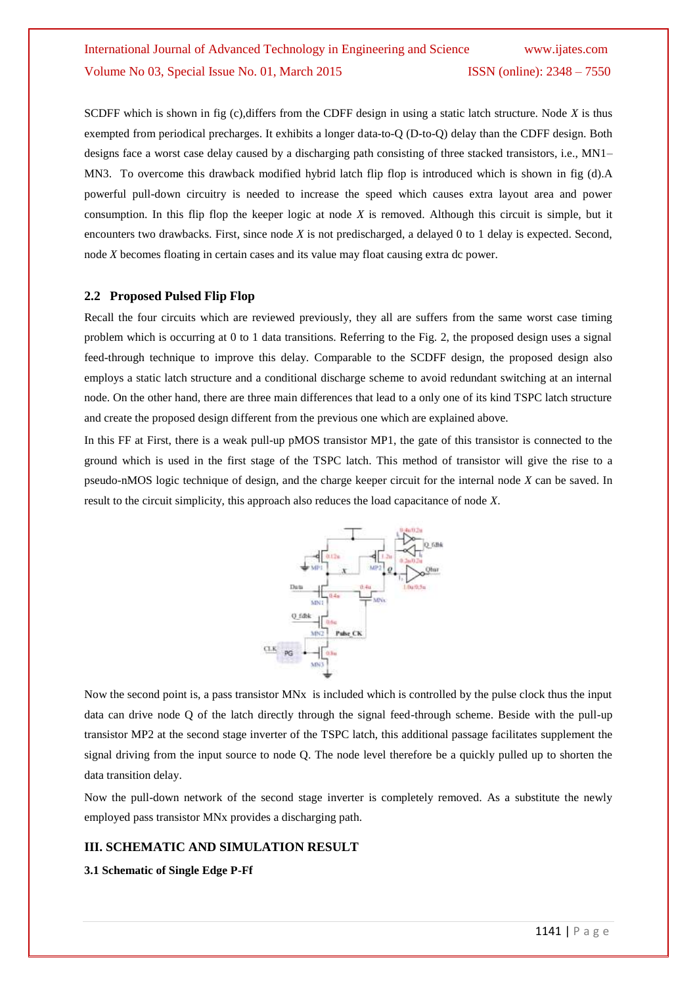# International Journal of Advanced Technology in Engineering and Science www.ijates.com Volume No 03, Special Issue No. 01, March 2015 ISSN (online): 2348 – 7550

SCDFF which is shown in fig (c),differs from the CDFF design in using a static latch structure. Node *X* is thus exempted from periodical precharges. It exhibits a longer data-to-Q (D-to-Q) delay than the CDFF design. Both designs face a worst case delay caused by a discharging path consisting of three stacked transistors, i.e., MN1– MN3. To overcome this drawback modified hybrid latch flip flop is introduced which is shown in fig (d).A powerful pull-down circuitry is needed to increase the speed which causes extra layout area and power consumption. In this flip flop the keeper logic at node *X* is removed. Although this circuit is simple, but it encounters two drawbacks. First, since node *X* is not predischarged, a delayed 0 to 1 delay is expected. Second, node *X* becomes floating in certain cases and its value may float causing extra dc power.

#### **2.2 Proposed Pulsed Flip Flop**

Recall the four circuits which are reviewed previously, they all are suffers from the same worst case timing problem which is occurring at 0 to 1 data transitions. Referring to the Fig. 2, the proposed design uses a signal feed-through technique to improve this delay. Comparable to the SCDFF design, the proposed design also employs a static latch structure and a conditional discharge scheme to avoid redundant switching at an internal node. On the other hand, there are three main differences that lead to a only one of its kind TSPC latch structure and create the proposed design different from the previous one which are explained above.

In this FF at First, there is a weak pull-up pMOS transistor MP1, the gate of this transistor is connected to the ground which is used in the first stage of the TSPC latch. This method of transistor will give the rise to a pseudo-nMOS logic technique of design, and the charge keeper circuit for the internal node *X* can be saved. In result to the circuit simplicity, this approach also reduces the load capacitance of node *X*.



Now the second point is, a pass transistor MNx is included which is controlled by the pulse clock thus the input data can drive node Q of the latch directly through the signal feed-through scheme. Beside with the pull-up transistor MP2 at the second stage inverter of the TSPC latch, this additional passage facilitates supplement the signal driving from the input source to node Q. The node level therefore be a quickly pulled up to shorten the data transition delay.

Now the pull-down network of the second stage inverter is completely removed. As a substitute the newly employed pass transistor MNx provides a discharging path.

#### **III. SCHEMATIC AND SIMULATION RESULT**

#### **3.1 Schematic of Single Edge P-Ff**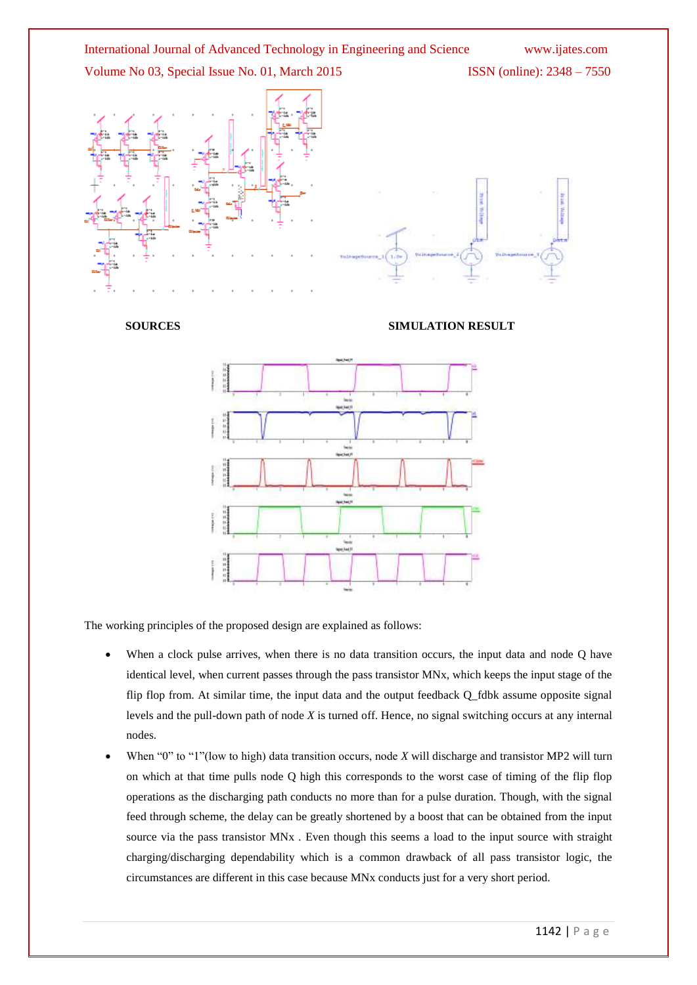

The working principles of the proposed design are explained as follows:

When a clock pulse arrives, when there is no data transition occurs, the input data and node Q have identical level, when current passes through the pass transistor MNx, which keeps the input stage of the flip flop from. At similar time, the input data and the output feedback Q\_fdbk assume opposite signal levels and the pull-down path of node *X* is turned off. Hence, no signal switching occurs at any internal nodes.

**Spot East F** 

When "0" to "1"(low to high) data transition occurs, node *X* will discharge and transistor MP2 will turn on which at that time pulls node Q high this corresponds to the worst case of timing of the flip flop operations as the discharging path conducts no more than for a pulse duration. Though, with the signal feed through scheme, the delay can be greatly shortened by a boost that can be obtained from the input source via the pass transistor MNx . Even though this seems a load to the input source with straight charging/discharging dependability which is a common drawback of all pass transistor logic, the circumstances are different in this case because MNx conducts just for a very short period.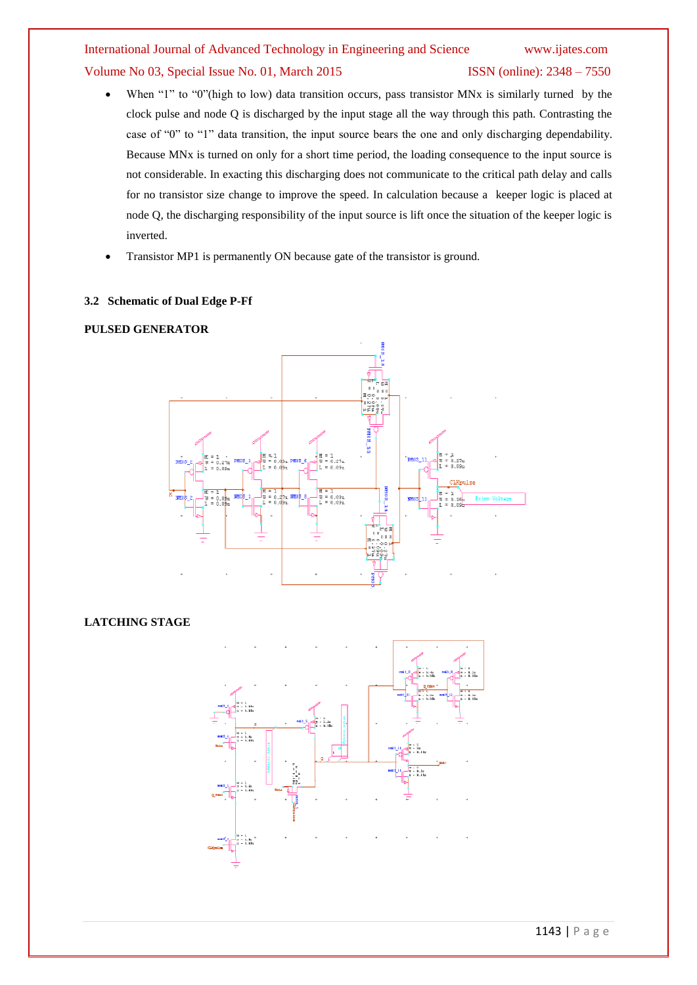# International Journal of Advanced Technology in Engineering and Science www.ijates.com Volume No 03, Special Issue No. 01, March 2015 ISSN (online): 2348 – 7550

- When "1" to "0"(high to low) data transition occurs, pass transistor MNx is similarly turned by the clock pulse and node Q is discharged by the input stage all the way through this path. Contrasting the case of "0" to "1" data transition, the input source bears the one and only discharging dependability. Because MNx is turned on only for a short time period, the loading consequence to the input source is not considerable. In exacting this discharging does not communicate to the critical path delay and calls for no transistor size change to improve the speed. In calculation because a keeper logic is placed at node Q, the discharging responsibility of the input source is lift once the situation of the keeper logic is inverted.
- Transistor MP1 is permanently ON because gate of the transistor is ground.

### **3.2 Schematic of Dual Edge P-Ff**

#### **PULSED GENERATOR**



# **LATCHING STAGE**

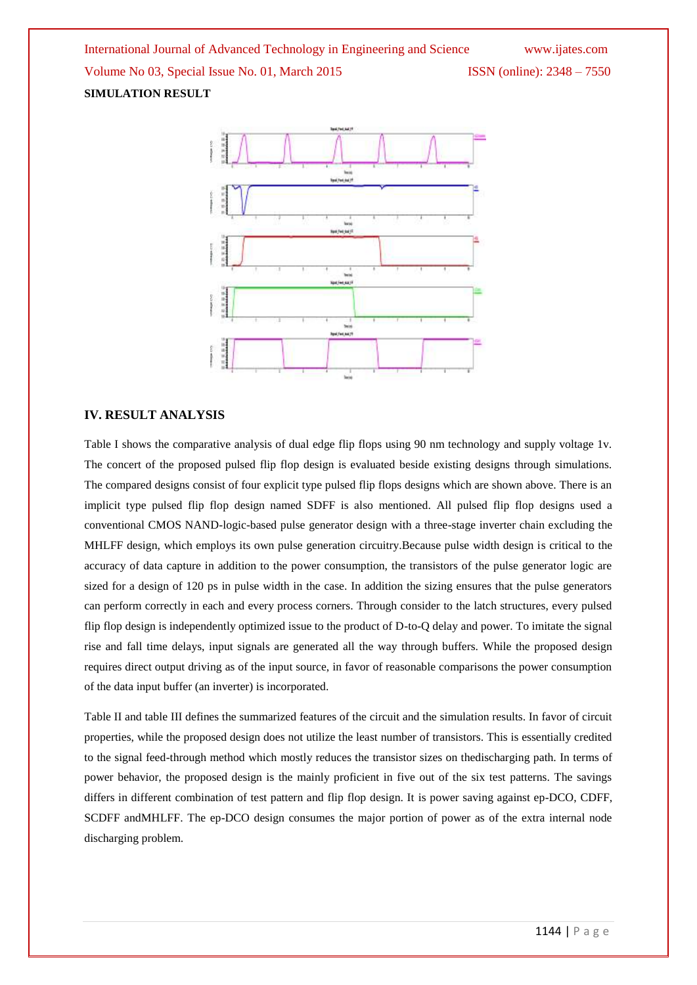

#### **IV. RESULT ANALYSIS**

Table I shows the comparative analysis of dual edge flip flops using 90 nm technology and supply voltage 1v. The concert of the proposed pulsed flip flop design is evaluated beside existing designs through simulations. The compared designs consist of four explicit type pulsed flip flops designs which are shown above. There is an implicit type pulsed flip flop design named SDFF is also mentioned. All pulsed flip flop designs used a conventional CMOS NAND-logic-based pulse generator design with a three-stage inverter chain excluding the MHLFF design, which employs its own pulse generation circuitry.Because pulse width design is critical to the accuracy of data capture in addition to the power consumption, the transistors of the pulse generator logic are sized for a design of 120 ps in pulse width in the case. In addition the sizing ensures that the pulse generators can perform correctly in each and every process corners. Through consider to the latch structures, every pulsed flip flop design is independently optimized issue to the product of D-to-Q delay and power. To imitate the signal rise and fall time delays, input signals are generated all the way through buffers. While the proposed design requires direct output driving as of the input source, in favor of reasonable comparisons the power consumption of the data input buffer (an inverter) is incorporated.

Table II and table III defines the summarized features of the circuit and the simulation results. In favor of circuit properties, while the proposed design does not utilize the least number of transistors. This is essentially credited to the signal feed-through method which mostly reduces the transistor sizes on thedischarging path. In terms of power behavior, the proposed design is the mainly proficient in five out of the six test patterns. The savings differs in different combination of test pattern and flip flop design. It is power saving against ep-DCO, CDFF, SCDFF andMHLFF. The ep-DCO design consumes the major portion of power as of the extra internal node discharging problem.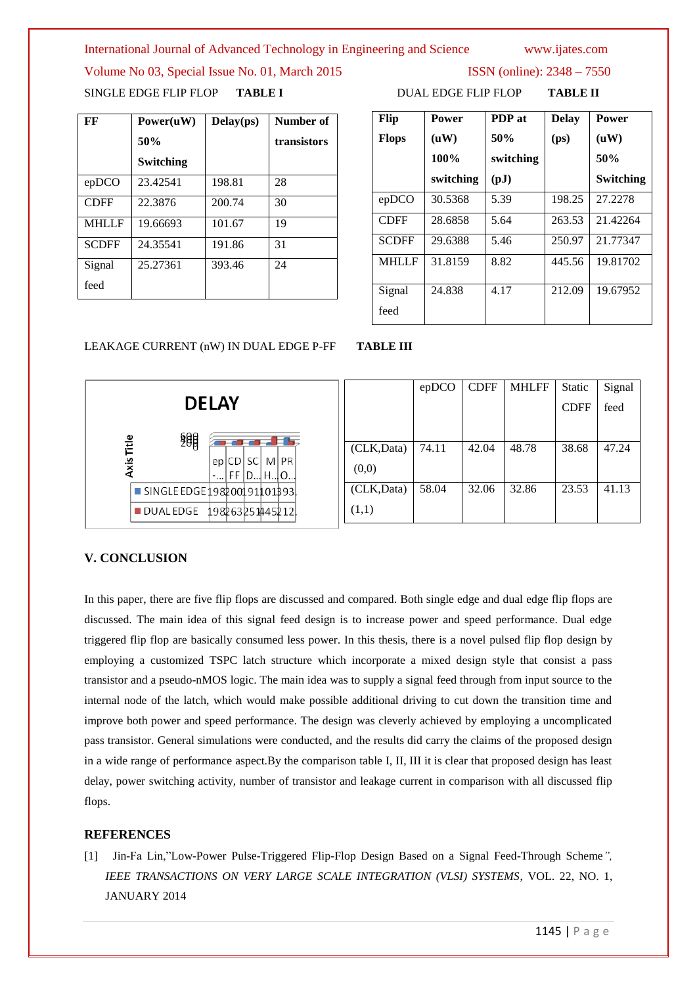International Journal of Advanced Technology in Engineering and Science www.ijates.com

Volume No 03, Special Issue No. 01, March 2015 ISSN (online): 2348 – 7550 SINGLE EDGE FLIP FLOP **TABLE I** DUAL EDGE FLIP FLOP **TABLE II**

**FF Power(uW) 50% Switching Delay(ps) Number of transistors** epDCO 23.42541 198.81 28 CDFF 22.3876 200.74 30 MHLLF 19.66693 101.67 19 SCDFF 24.35541 191.86 31 Signal feed 25.27361 393.46 24

| Flip<br><b>Flops</b> | <b>Power</b><br>(uW)<br>100%<br>switching | PDP at<br>50%<br>switching<br>$\left( \text{pJ}\right)$ | <b>Delay</b><br>(p <sub>S</sub> ) | Power<br>(uW)<br>50%<br>Switching |
|----------------------|-------------------------------------------|---------------------------------------------------------|-----------------------------------|-----------------------------------|
| epDCO                | 30.5368                                   | 5.39                                                    | 198.25                            | 27.2278                           |
| <b>CDFF</b>          | 28.6858                                   | 5.64                                                    | 263.53                            | 21.42264                          |
| <b>SCDFF</b>         | 29.6388                                   | 5.46                                                    | 250.97                            | 21.77347                          |
| MHLLF                | 31.8159                                   | 8.82                                                    | 445.56                            | 19.81702                          |
| Signal<br>feed       | 24.838                                    | 4.17                                                    | 212.09                            | 19.67952                          |

# LEAKAGE CURRENT (nW) IN DUAL EDGE P-FF **TABLE III**

|                                      |            | epDCO | <b>CDFF</b> | <b>MHLFF</b> | Static      | Signal |
|--------------------------------------|------------|-------|-------------|--------------|-------------|--------|
| <b>DELAY</b>                         |            |       |             |              | <b>CDFF</b> | feed   |
| 興                                    |            |       |             |              |             |        |
| Title                                | (CLK,Data) | 74.11 | 42.04       | 48.78        | 38.68       | 47.24  |
| Axis<br>ep CD SC M PR <br>- FF D H O | (0,0)      |       |             |              |             |        |
| SINGLE EDGE 198200191101393          | (CLK,Data) | 58.04 | 32.06       | 32.86        | 23.53       | 41.13  |
| <b>DUALEDGE</b><br>198263251445212   | (1,1)      |       |             |              |             |        |

# **V. CONCLUSION**

In this paper, there are five flip flops are discussed and compared. Both single edge and dual edge flip flops are discussed. The main idea of this signal feed design is to increase power and speed performance. Dual edge triggered flip flop are basically consumed less power. In this thesis, there is a novel pulsed flip flop design by employing a customized TSPC latch structure which incorporate a mixed design style that consist a pass transistor and a pseudo-nMOS logic. The main idea was to supply a signal feed through from input source to the internal node of the latch, which would make possible additional driving to cut down the transition time and improve both power and speed performance. The design was cleverly achieved by employing a uncomplicated pass transistor. General simulations were conducted, and the results did carry the claims of the proposed design in a wide range of performance aspect.By the comparison table I, II, III it is clear that proposed design has least delay, power switching activity, number of transistor and leakage current in comparison with all discussed flip flops.

# **REFERENCES**

[1] Jin-Fa Lin,"Low-Power Pulse-Triggered Flip-Flop Design Based on a Signal Feed-Through Scheme*", IEEE TRANSACTIONS ON VERY LARGE SCALE INTEGRATION (VLSI) SYSTEMS*, VOL. 22, NO. 1, JANUARY 2014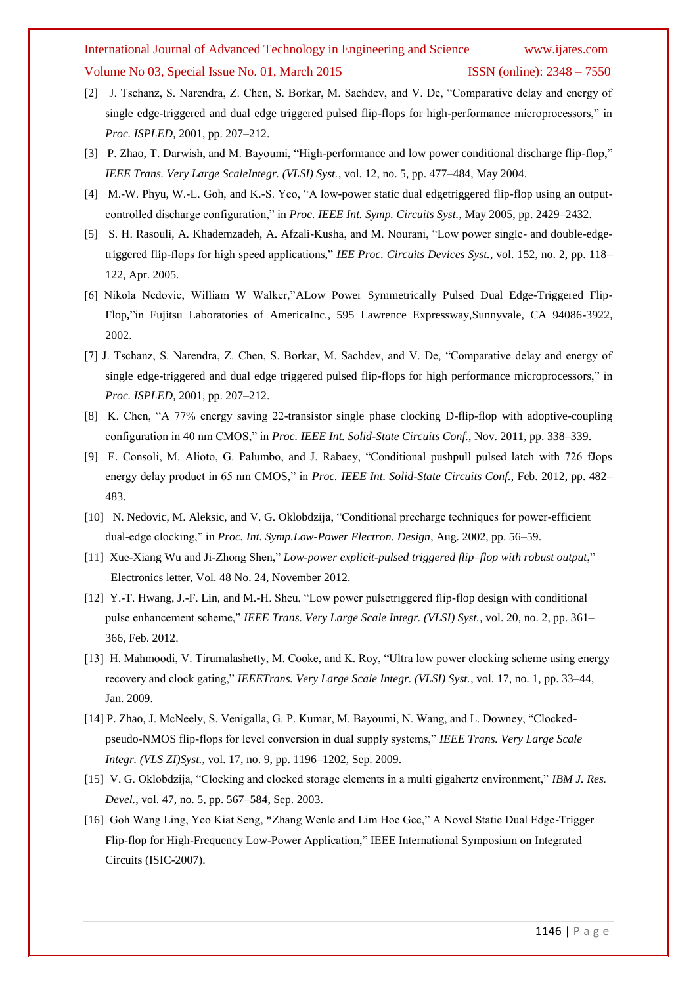# International Journal of Advanced Technology in Engineering and Science www.ijates.com

#### Volume No 03, Special Issue No. 01, March 2015 ISSN (online): 2348 – 7550

- [2] J. Tschanz, S. Narendra, Z. Chen, S. Borkar, M. Sachdev, and V. De, "Comparative delay and energy of single edge-triggered and dual edge triggered pulsed flip-flops for high-performance microprocessors," in *Proc. ISPLED*, 2001, pp. 207–212.
- [3] P. Zhao, T. Darwish, and M. Bayoumi, "High-performance and low power conditional discharge flip-flop," *IEEE Trans. Very Large ScaleIntegr. (VLSI) Syst.*, vol. 12, no. 5, pp. 477–484, May 2004.
- [4] M.-W. Phyu, W.-L. Goh, and K.-S. Yeo, "A low-power static dual edgetriggered flip-flop using an outputcontrolled discharge configuration," in *Proc. IEEE Int. Symp. Circuits Syst.*, May 2005, pp. 2429–2432.
- [5] S. H. Rasouli, A. Khademzadeh, A. Afzali-Kusha, and M. Nourani, "Low power single- and double-edgetriggered flip-flops for high speed applications," *IEE Proc. Circuits Devices Syst.*, vol. 152, no. 2, pp. 118– 122, Apr. 2005.
- [6] Nikola Nedovic, William W Walker,"ALow Power Symmetrically Pulsed Dual Edge-Triggered Flip-Flop**,**"in Fujitsu Laboratories of AmericaInc., 595 Lawrence Expressway,Sunnyvale, CA 94086-3922, 2002.
- [7] J. Tschanz, S. Narendra, Z. Chen, S. Borkar, M. Sachdev, and V. De, "Comparative delay and energy of single edge-triggered and dual edge triggered pulsed flip-flops for high performance microprocessors," in *Proc. ISPLED*, 2001, pp. 207–212.
- [8] K. Chen, "A 77% energy saving 22-transistor single phase clocking D-flip-flop with adoptive-coupling configuration in 40 nm CMOS," in *Proc. IEEE Int. Solid-State Circuits Conf.*, Nov. 2011, pp. 338–339.
- [9] E. Consoli, M. Alioto, G. Palumbo, and J. Rabaey, "Conditional pushpull pulsed latch with 726 fJops energy delay product in 65 nm CMOS," in *Proc. IEEE Int. Solid-State Circuits Conf.*, Feb. 2012, pp. 482– 483.
- [10] N. Nedovic, M. Aleksic, and V. G. Oklobdzija, "Conditional precharge techniques for power-efficient dual-edge clocking," in *Proc. Int. Symp.Low-Power Electron. Design*, Aug. 2002, pp. 56–59.
- [11] Xue-Xiang Wu and Ji-Zhong Shen," *Low-power explicit-pulsed triggered flip–flop with robust output*," Electronics letter, Vol. 48 No. 24, November 2012.
- [12] Y.-T. Hwang, J.-F. Lin, and M.-H. Sheu, "Low power pulsetriggered flip-flop design with conditional pulse enhancement scheme," *IEEE Trans. Very Large Scale Integr. (VLSI) Syst.*, vol. 20, no. 2, pp. 361– 366, Feb. 2012.
- [13] H. Mahmoodi, V. Tirumalashetty, M. Cooke, and K. Roy, "Ultra low power clocking scheme using energy recovery and clock gating," *IEEETrans. Very Large Scale Integr. (VLSI) Syst.*, vol. 17, no. 1, pp. 33–44, Jan. 2009.
- [14] P. Zhao, J. McNeely, S. Venigalla, G. P. Kumar, M. Bayoumi, N. Wang, and L. Downey, "Clockedpseudo-NMOS flip-flops for level conversion in dual supply systems," *IEEE Trans. Very Large Scale Integr. (VLS ZI)Syst.*, vol. 17, no. 9, pp. 1196–1202, Sep. 2009.
- [15] V. G. Oklobdzija, "Clocking and clocked storage elements in a multi gigahertz environment," *IBM J. Res. Devel.*, vol. 47, no. 5, pp. 567–584, Sep. 2003.
- [16] Goh Wang Ling, Yeo Kiat Seng, \*Zhang Wenle and Lim Hoe Gee," A Novel Static Dual Edge-Trigger Flip-flop for High-Frequency Low-Power Application," IEEE International Symposium on Integrated Circuits (ISIC-2007).